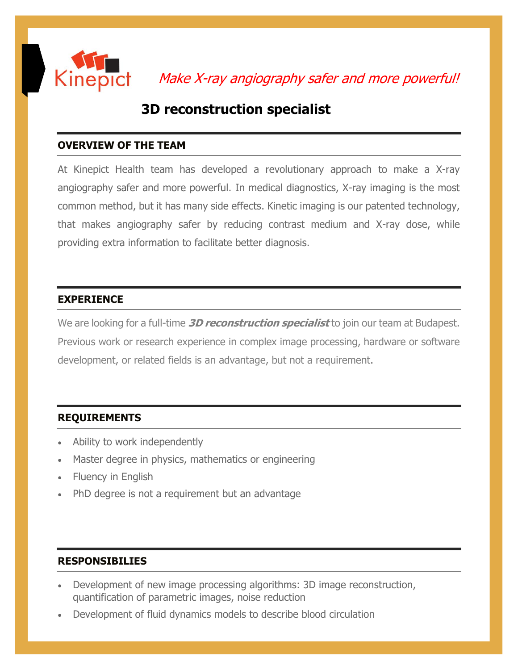

Make X-ray angiography safer and more powerful!

# **3D reconstruction specialist**

# **OVERVIEW OF THE TEAM**

At Kinepict Health team has developed a revolutionary approach to make a X-ray angiography safer and more powerful. In medical diagnostics, X-ray imaging is the most common method, but it has many side effects. Kinetic imaging is our patented technology, that makes angiography safer by reducing contrast medium and X-ray dose, while providing extra information to facilitate better diagnosis.

#### **EXPERIENCE**

We are looking for a full-time **3D reconstruction specialist** to join our team at Budapest. Previous work or research experience in complex image processing, hardware or software development, or related fields is an advantage, but not a requirement.

# **REQUIREMENTS**

- Ability to work independently
- Master degree in physics, mathematics or engineering
- Fluency in English
- PhD degree is not a requirement but an advantage

# **RESPONSIBILIES**

- Development of new image processing algorithms: 3D image reconstruction, quantification of parametric images, noise reduction
- Development of fluid dynamics models to describe blood circulation